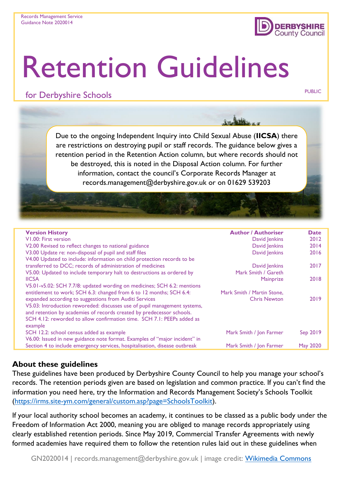

# Retention Guidelines

# for Derbyshire Schools **PUBLIC** PUBLIC

Due to the ongoing Independent Inquiry into Child Sexual Abuse (**IICSA**) there are restrictions on destroying pupil or staff records. The guidance below gives a retention period in the Retention Action column, but where records should not be destroyed, this is noted in the Disposal Action column. For further information, contact the council's Corporate Records Manager at records.management@derbyshire.gov.uk or on 01629 539203

| <b>Version History</b>                                                     | <b>Author / Authoriser</b> | <b>Date</b>     |
|----------------------------------------------------------------------------|----------------------------|-----------------|
| V1.00: First version                                                       | David Jenkins              | 2012            |
| V2.00 Revised to reflect changes to national guidance                      | David Jenkins              | 2014            |
| V3.00 Update re: non-disposal of pupil and staff files                     | David Jenkins              | 2016            |
| V4.00 Updated to include: information on child protection records to be    |                            |                 |
| transferred to DCC; records of administration of medicines                 | David Jenkins              | 2017            |
| V5.00: Updated to include temporary halt to destructions as ordered by     | Mark Smith / Gareth        |                 |
| <b>IICSA</b>                                                               | Mainprize                  | 2018            |
| V5.01-v5.02: SCH 7.7/8: updated wording on medicines; SCH 6.2: mentions    |                            |                 |
| entitlement to work; SCH 6.3: changed from 6 to 12 months; SCH 6.4:        | Mark Smith / Martin Stone. |                 |
| expanded according to suggestions from Auditi Services                     | <b>Chris Newton</b>        | 2019            |
| V5.03: Introduction reworeded: discusses use of pupil management systems,  |                            |                 |
| and retention by academies of records created by predecessor schools.      |                            |                 |
| SCH 4.12: reworded to allow confirmation time. SCH 7.1: PEEPs added as     |                            |                 |
| example                                                                    |                            |                 |
| SCH 12.2: school census added as example                                   | Mark Smith / Jon Farmer    | Sep 2019        |
| V6.00: Issued in new guidance note format. Examples of "major incident" in |                            |                 |
| Section 4 to include emergency services, hospitalisation, disease outbreak | Mark Smith / Jon Farmer    | <b>May 2020</b> |
|                                                                            |                            |                 |

## **About these guidelines**

These guidelines have been produced by Derbyshire County Council to help you manage your school's records. The retention periods given are based on legislation and common practice. If you can't find the information you need here, try the Information and Records Management Society's Schools Toolkit [\(https://irms.site-ym.com/general/custom.asp?page=SchoolsToolkit\)](https://irms.site-ym.com/general/custom.asp?page=SchoolsToolkit).

If your local authority school becomes an academy, it continues to be classed as a public body under the Freedom of Information Act 2000, meaning you are obliged to manage records appropriately using clearly established retention periods. Since May 2019, Commercial Transfer Agreements with newly formed academies have required them to follow the retention rules laid out in these guidelines when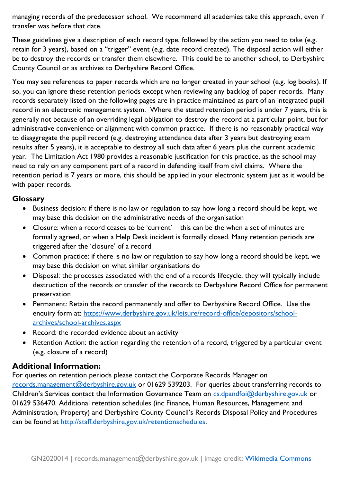managing records of the predecessor school. We recommend all academies take this approach, even if transfer was before that date.

These guidelines give a description of each record type, followed by the action you need to take (e.g. retain for 3 years), based on a "trigger" event (e.g. date record created). The disposal action will either be to destroy the records or transfer them elsewhere. This could be to another school, to Derbyshire County Council or as archives to Derbyshire Record Office.

You may see references to paper records which are no longer created in your school (e.g. log books). If so, you can ignore these retention periods except when reviewing any backlog of paper records. Many records separately listed on the following pages are in practice maintained as part of an integrated pupil record in an electronic management system. Where the stated retention period is under 7 years, this is generally not because of an overriding legal obligation to destroy the record at a particular point, but for administrative convenience or alignment with common practice. If there is no reasonably practical way to disaggregate the pupil record (e.g. destroying attendance data after 3 years but destroying exam results after 5 years), it is acceptable to destroy all such data after 6 years plus the current academic year. The Limitation Act 1980 provides a reasonable justification for this practice, as the school may need to rely on any component part of a record in defending itself from civil claims. Where the retention period is 7 years or more, this should be applied in your electronic system just as it would be with paper records.

### **Glossary**

- Business decision: if there is no law or regulation to say how long a record should be kept, we may base this decision on the administrative needs of the organisation
- Closure: when a record ceases to be 'current' this can be the when a set of minutes are formally agreed, or when a Help Desk incident is formally closed. Many retention periods are triggered after the 'closure' of a record
- Common practice: if there is no law or regulation to say how long a record should be kept, we may base this decision on what similar organisations do
- Disposal: the processes associated with the end of a records lifecycle, they will typically include destruction of the records or transfer of the records to Derbyshire Record Office for permanent preservation
- Permanent: Retain the record permanently and offer to Derbyshire Record Office. Use the enquiry form at: [https://www.derbyshire.gov.uk/leisure/record-office/depositors/school](https://www.derbyshire.gov.uk/leisure/record-office/depositors/school-archives/school-archives.aspx)[archives/school-archives.aspx](https://www.derbyshire.gov.uk/leisure/record-office/depositors/school-archives/school-archives.aspx)
- Record: the recorded evidence about an activity
- Retention Action: the action regarding the retention of a record, triggered by a particular event (e.g. closure of a record)

### **Additional Information:**

For queries on retention periods please contact the Corporate Records Manager on [records.management@derbyshire.gov.uk](mailto:records.management@derbyshire.gov.uk) or 01629 539203. For queries about transferring records to Children's Services contact the Information Governance Team on [cs.dpandfoi@derbyshire.gov.uk](mailto:cs.dpandfoi@derbyshire.gov.uk) or 01629 536470. Additional retention schedules (inc Finance, Human Resources, Management and Administration, Property) and Derbyshire County Council's Records Disposal Policy and Procedures can be found at [http://staff.derbyshire.gov.uk/retentionschedules.](http://staff.derbyshire.gov.uk/retentionschedules)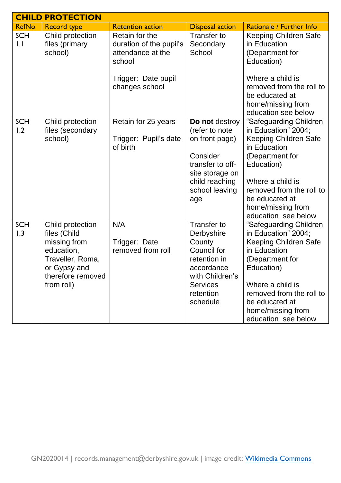|                   | <b>CHILD PROTECTION</b>                                                                                                               |                                                                                                                   |                                                                                                                                                  |                                                                                                                                                                                                                                              |
|-------------------|---------------------------------------------------------------------------------------------------------------------------------------|-------------------------------------------------------------------------------------------------------------------|--------------------------------------------------------------------------------------------------------------------------------------------------|----------------------------------------------------------------------------------------------------------------------------------------------------------------------------------------------------------------------------------------------|
| <b>RefNo</b>      | <b>Record type</b>                                                                                                                    | <b>Retention action</b>                                                                                           | <b>Disposal action</b>                                                                                                                           | Rationale / Further Info                                                                                                                                                                                                                     |
| <b>SCH</b><br>1.1 | Child protection<br>files (primary<br>school)                                                                                         | Retain for the<br>duration of the pupil's<br>attendance at the<br>school<br>Trigger: Date pupil<br>changes school | <b>Transfer to</b><br>Secondary<br>School                                                                                                        | Keeping Children Safe<br>in Education<br>(Department for<br>Education)<br>Where a child is<br>removed from the roll to<br>be educated at<br>home/missing from<br>education see below                                                         |
| <b>SCH</b><br>1.2 | Child protection<br>files (secondary<br>school)                                                                                       | Retain for 25 years<br>Trigger: Pupil's date<br>of birth                                                          | Do not destroy<br>(refer to note<br>on front page)<br>Consider<br>transfer to off-<br>site storage on<br>child reaching<br>school leaving<br>age | "Safeguarding Children<br>in Education" 2004;<br><b>Keeping Children Safe</b><br>in Education<br>(Department for<br>Education)<br>Where a child is<br>removed from the roll to<br>be educated at<br>home/missing from<br>education see below |
| <b>SCH</b><br>1.3 | Child protection<br>files (Child<br>missing from<br>education,<br>Traveller, Roma,<br>or Gypsy and<br>therefore removed<br>from roll) | N/A<br>Trigger: Date<br>removed from roll                                                                         | Transfer to<br>Derbyshire<br>County<br>Council for<br>retention in<br>accordance<br>with Children's<br><b>Services</b><br>retention<br>schedule  | "Safeguarding Children<br>in Education" 2004;<br>Keeping Children Safe<br>in Education<br>(Department for<br>Education)<br>Where a child is<br>removed from the roll to<br>be educated at<br>home/missing from<br>education see below        |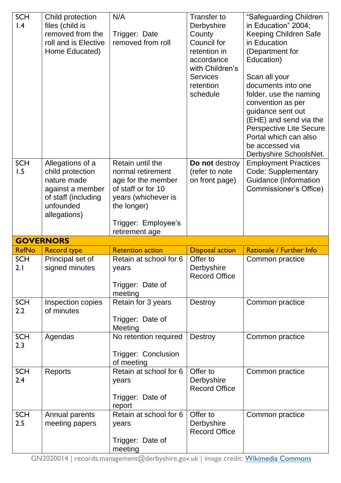| <b>SCH</b><br>1.4               | Child protection<br>files (child is<br>removed from the<br>roll and is Elective<br>Home Educated)                           | N/A<br>Trigger: Date<br>removed from roll                                                                                                                        | Transfer to<br>Derbyshire<br>County<br>Council for<br>retention in<br>accordance<br>with Children's<br><b>Services</b><br>retention<br>schedule | "Safeguarding Children<br>in Education" 2004;<br>Keeping Children Safe<br>in Education<br>(Department for<br>Education)<br>Scan all your<br>documents into one<br>folder, use the naming<br>convention as per<br>guidance sent out<br>(EHE) and send via the<br><b>Perspective Lite Secure</b><br>Portal which can also<br>be accessed via<br>Derbyshire SchoolsNet. |
|---------------------------------|-----------------------------------------------------------------------------------------------------------------------------|------------------------------------------------------------------------------------------------------------------------------------------------------------------|-------------------------------------------------------------------------------------------------------------------------------------------------|----------------------------------------------------------------------------------------------------------------------------------------------------------------------------------------------------------------------------------------------------------------------------------------------------------------------------------------------------------------------|
| <b>SCH</b><br>1.5               | Allegations of a<br>child protection<br>nature made<br>against a member<br>of staff (including<br>unfounded<br>allegations) | Retain until the<br>normal retirement<br>age for the member<br>of staff or for 10<br>years (whichever is<br>the longer)<br>Trigger: Employee's<br>retirement age | Do not destroy<br>(refer to note<br>on front page)                                                                                              | <b>Employment Practices</b><br>Code: Supplementary<br><b>Guidance (Information</b><br>Commissioner's Office)                                                                                                                                                                                                                                                         |
|                                 | <b>GOVERNORS</b>                                                                                                            |                                                                                                                                                                  |                                                                                                                                                 |                                                                                                                                                                                                                                                                                                                                                                      |
|                                 |                                                                                                                             |                                                                                                                                                                  |                                                                                                                                                 |                                                                                                                                                                                                                                                                                                                                                                      |
| <b>RefNo</b>                    | <b>Record type</b>                                                                                                          | <b>Retention action</b>                                                                                                                                          | <b>Disposal action</b>                                                                                                                          | Rationale / Further Info                                                                                                                                                                                                                                                                                                                                             |
| <b>SCH</b><br>2.1               | Principal set of<br>signed minutes                                                                                          | Retain at school for 6<br>years<br>Trigger: Date of                                                                                                              | Offer to<br>Derbyshire<br><b>Record Office</b>                                                                                                  | Common practice                                                                                                                                                                                                                                                                                                                                                      |
| <b>SCH</b><br>$2.2\phantom{0}$  | Inspection copies<br>of minutes                                                                                             | meeting<br>Retain for 3 years<br>Trigger: Date of                                                                                                                | <b>Destroy</b>                                                                                                                                  | Common practice                                                                                                                                                                                                                                                                                                                                                      |
| <b>SCH</b><br>2.3               | Agendas                                                                                                                     | Meeting<br>No retention required<br>Trigger: Conclusion<br>of meeting                                                                                            | Destroy                                                                                                                                         | Common practice                                                                                                                                                                                                                                                                                                                                                      |
| <b>SCH</b><br>2.4<br><b>SCH</b> | Reports<br>Annual parents                                                                                                   | Retain at school for 6<br>years<br>Trigger: Date of<br>report<br>Retain at school for 6                                                                          | Offer to<br>Derbyshire<br><b>Record Office</b><br>Offer to                                                                                      | Common practice<br>Common practice                                                                                                                                                                                                                                                                                                                                   |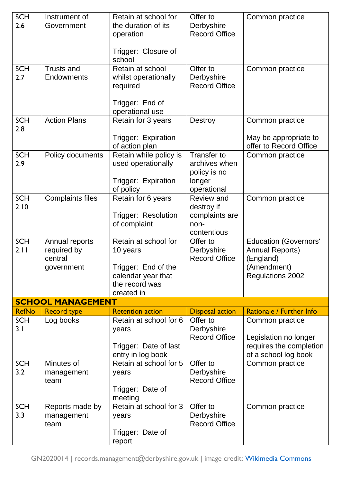| <b>SCH</b><br>2.6  | Instrument of<br>Government                            | Retain at school for<br>the duration of its<br>operation<br>Trigger: Closure of<br>school                     | Offer to<br>Derbyshire<br><b>Record Office</b>                               | Common practice                                                                                        |
|--------------------|--------------------------------------------------------|---------------------------------------------------------------------------------------------------------------|------------------------------------------------------------------------------|--------------------------------------------------------------------------------------------------------|
| <b>SCH</b><br>2.7  | <b>Trusts and</b><br><b>Endowments</b>                 | Retain at school<br>whilst operationally<br>required<br>Trigger: End of<br>operational use                    | Offer to<br>Derbyshire<br><b>Record Office</b>                               | Common practice                                                                                        |
| <b>SCH</b><br>2.8  | <b>Action Plans</b>                                    | Retain for 3 years<br>Trigger: Expiration                                                                     | Destroy                                                                      | Common practice<br>May be appropriate to                                                               |
| <b>SCH</b><br>2.9  | Policy documents                                       | of action plan<br>Retain while policy is<br>used operationally<br>Trigger: Expiration<br>of policy            | <b>Transfer to</b><br>archives when<br>policy is no<br>longer<br>operational | offer to Record Office<br>Common practice                                                              |
| <b>SCH</b><br>2.10 | <b>Complaints files</b>                                | Retain for 6 years<br>Trigger: Resolution<br>of complaint                                                     | <b>Review and</b><br>destroy if<br>complaints are<br>non-<br>contentious     | Common practice                                                                                        |
| <b>SCH</b><br>2.11 | Annual reports<br>required by<br>central<br>government | Retain at school for<br>10 years<br>Trigger: End of the<br>calendar year that<br>the record was<br>created in | Offer to<br>Derbyshire<br><b>Record Office</b>                               | <b>Education (Governors'</b><br><b>Annual Reports)</b><br>(England)<br>(Amendment)<br>Regulations 2002 |
|                    | <b>SCHOOL MANAGEMENT</b>                               |                                                                                                               |                                                                              |                                                                                                        |
| <b>RefNo</b>       | <b>Record type</b>                                     | <b>Retention action</b>                                                                                       | <b>Disposal action</b>                                                       | Rationale / Further Info                                                                               |
| <b>SCH</b><br>3.1  | Log books                                              | Retain at school for 6<br>years<br>Trigger: Date of last<br>entry in log book                                 | Offer to<br>Derbyshire<br><b>Record Office</b>                               | Common practice<br>Legislation no longer<br>requires the completion<br>of a school log book            |
| <b>SCH</b><br>3.2  | Minutes of<br>management<br>team                       | Retain at school for 5<br>years<br>Trigger: Date of<br>meeting                                                | Offer to<br>Derbyshire<br><b>Record Office</b>                               | Common practice                                                                                        |
| <b>SCH</b><br>3.3  | Reports made by<br>management<br>team                  | Retain at school for 3<br>years<br>Trigger: Date of<br>report                                                 | Offer to<br>Derbyshire<br><b>Record Office</b>                               | Common practice                                                                                        |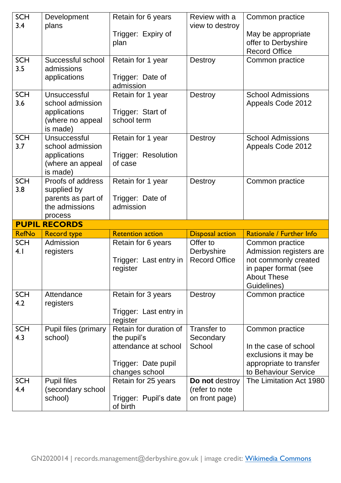| <b>SCH</b>        | Development                     | Retain for 6 years                 | Review with a                    | Common practice          |
|-------------------|---------------------------------|------------------------------------|----------------------------------|--------------------------|
| 3.4               | plans                           |                                    | view to destroy                  |                          |
|                   |                                 | Trigger: Expiry of                 |                                  | May be appropriate       |
|                   |                                 | plan                               |                                  | offer to Derbyshire      |
|                   |                                 |                                    |                                  | <b>Record Office</b>     |
| <b>SCH</b><br>3.5 | Successful school<br>admissions | Retain for 1 year                  | Destroy                          | Common practice          |
|                   | applications                    | Trigger: Date of                   |                                  |                          |
|                   |                                 | admission                          |                                  |                          |
| <b>SCH</b>        | Unsuccessful                    | Retain for 1 year                  | Destroy                          | <b>School Admissions</b> |
| 3.6               | school admission                |                                    |                                  | <b>Appeals Code 2012</b> |
|                   | applications                    | Trigger: Start of                  |                                  |                          |
|                   | (where no appeal                | school term                        |                                  |                          |
|                   | is made)                        |                                    |                                  |                          |
| <b>SCH</b>        | Unsuccessful                    | Retain for 1 year                  | Destroy                          | <b>School Admissions</b> |
| 3.7               | school admission                |                                    |                                  | <b>Appeals Code 2012</b> |
|                   | applications                    | Trigger: Resolution                |                                  |                          |
|                   | (where an appeal<br>is made)    | of case                            |                                  |                          |
| <b>SCH</b>        | Proofs of address               | Retain for 1 year                  | Destroy                          | Common practice          |
| 3.8               | supplied by                     |                                    |                                  |                          |
|                   | parents as part of              | Trigger: Date of                   |                                  |                          |
|                   | the admissions                  | admission                          |                                  |                          |
|                   |                                 |                                    |                                  |                          |
|                   | process                         |                                    |                                  |                          |
|                   | <b>PUPIL RECORDS</b>            |                                    |                                  |                          |
| <b>RefNo</b>      | <b>Record type</b>              | <b>Retention action</b>            | <b>Disposal action</b>           | Rationale / Further Info |
| <b>SCH</b>        | Admission                       | Retain for 6 years                 | Offer to                         | Common practice          |
| 4.1               | registers                       |                                    | Derbyshire                       | Admission registers are  |
|                   |                                 | Trigger: Last entry in             | <b>Record Office</b>             | not commonly created     |
|                   |                                 | register                           |                                  | in paper format (see     |
|                   |                                 |                                    |                                  | <b>About These</b>       |
|                   |                                 |                                    |                                  | Guidelines)              |
| <b>SCH</b><br>4.2 | Attendance                      | Retain for 3 years                 | Destroy                          | Common practice          |
|                   | registers                       |                                    |                                  |                          |
|                   |                                 | Trigger: Last entry in<br>register |                                  |                          |
| <b>SCH</b>        | Pupil files (primary            | Retain for duration of             | Transfer to                      | Common practice          |
| 4.3               | school)                         | the pupil's                        | Secondary                        |                          |
|                   |                                 | attendance at school               | School                           | In the case of school    |
|                   |                                 |                                    |                                  | exclusions it may be     |
|                   |                                 | Trigger: Date pupil                |                                  | appropriate to transfer  |
|                   |                                 | changes school                     |                                  | to Behaviour Service     |
| <b>SCH</b>        | <b>Pupil files</b>              | Retain for 25 years                | Do not destroy                   | The Limitation Act 1980  |
| 4.4               | (secondary school<br>school)    | Trigger: Pupil's date              | (refer to note<br>on front page) |                          |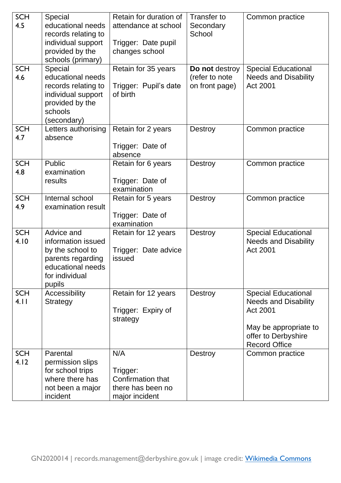| <b>SCH</b><br>4.5<br><b>SCH</b><br>4.6 | Special<br>educational needs<br>records relating to<br>individual support<br>provided by the<br>schools (primary)<br>Special<br>educational needs<br>records relating to | Retain for duration of<br>attendance at school<br>Trigger: Date pupil<br>changes school<br>Retain for 35 years<br>Trigger: Pupil's date | Transfer to<br>Secondary<br>School<br>Do not destroy<br>(refer to note<br>on front page) | Common practice<br><b>Special Educational</b><br><b>Needs and Disability</b><br>Act 2001                                                      |
|----------------------------------------|--------------------------------------------------------------------------------------------------------------------------------------------------------------------------|-----------------------------------------------------------------------------------------------------------------------------------------|------------------------------------------------------------------------------------------|-----------------------------------------------------------------------------------------------------------------------------------------------|
|                                        | individual support<br>provided by the<br>schools<br>(secondary)                                                                                                          | of birth                                                                                                                                |                                                                                          |                                                                                                                                               |
| <b>SCH</b><br>4.7                      | Letters authorising<br>absence                                                                                                                                           | Retain for 2 years<br>Trigger: Date of<br>absence                                                                                       | Destroy                                                                                  | Common practice                                                                                                                               |
| <b>SCH</b><br>4.8                      | Public<br>examination<br>results                                                                                                                                         | Retain for 6 years<br>Trigger: Date of<br>examination                                                                                   | Destroy                                                                                  | Common practice                                                                                                                               |
| <b>SCH</b><br>4.9                      | Internal school<br>examination result                                                                                                                                    | Retain for 5 years<br>Trigger: Date of<br>examination                                                                                   | <b>Destroy</b>                                                                           | Common practice                                                                                                                               |
| <b>SCH</b><br>4.10                     | Advice and<br>information issued<br>by the school to<br>parents regarding<br>educational needs<br>for individual<br>pupils                                               | Retain for 12 years<br>Trigger: Date advice<br>issued                                                                                   | <b>Destroy</b>                                                                           | <b>Special Educational</b><br><b>Needs and Disability</b><br>Act 2001                                                                         |
| <b>SCH</b><br>4.11                     | Accessibility<br><b>Strategy</b>                                                                                                                                         | Retain for 12 years<br>Trigger: Expiry of<br>strategy                                                                                   | Destroy                                                                                  | <b>Special Educational</b><br><b>Needs and Disability</b><br>Act 2001<br>May be appropriate to<br>offer to Derbyshire<br><b>Record Office</b> |
| <b>SCH</b><br>4.12                     | Parental<br>permission slips<br>for school trips<br>where there has<br>not been a major<br>incident                                                                      | N/A<br>Trigger:<br>Confirmation that<br>there has been no<br>major incident                                                             | <b>Destroy</b>                                                                           | Common practice                                                                                                                               |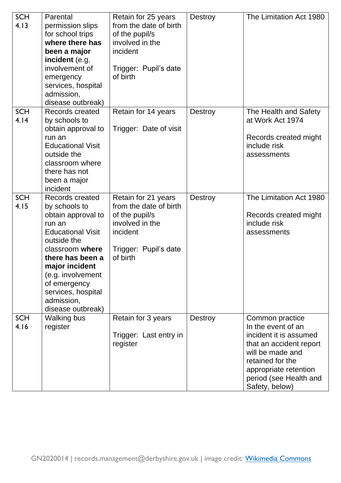| <b>SCH</b><br>4.13 | Parental<br>permission slips<br>for school trips<br>where there has<br>been a major<br>incident (e.g.<br>involvement of<br>emergency<br>services, hospital<br>admission,<br>disease outbreak)                                                                      | Retain for 25 years<br>from the date of birth<br>of the pupil/s<br>involved in the<br>incident<br>Trigger: Pupil's date<br>of birth | Destroy        | The Limitation Act 1980                                                                                                                                                                                 |
|--------------------|--------------------------------------------------------------------------------------------------------------------------------------------------------------------------------------------------------------------------------------------------------------------|-------------------------------------------------------------------------------------------------------------------------------------|----------------|---------------------------------------------------------------------------------------------------------------------------------------------------------------------------------------------------------|
| <b>SCH</b><br>4.14 | Records created<br>by schools to<br>obtain approval to<br>run an<br><b>Educational Visit</b><br>outside the<br>classroom where<br>there has not<br>been a major<br>incident                                                                                        | Retain for 14 years<br>Trigger: Date of visit                                                                                       | Destroy        | The Health and Safety<br>at Work Act 1974<br>Records created might<br>include risk<br>assessments                                                                                                       |
| <b>SCH</b><br>4.15 | Records created<br>by schools to<br>obtain approval to<br>run an<br><b>Educational Visit</b><br>outside the<br>classroom where<br>there has been a<br>major incident<br>(e.g. involvement<br>of emergency<br>services, hospital<br>admission,<br>disease outbreak) | Retain for 21 years<br>from the date of birth<br>of the pupil/s<br>involved in the<br>incident<br>Trigger: Pupil's date<br>of birth | Destroy        | The Limitation Act 1980<br>Records created might<br>include risk<br>assessments                                                                                                                         |
| <b>SCH</b><br>4.16 | <b>Walking bus</b><br>register                                                                                                                                                                                                                                     | Retain for 3 years<br>Trigger: Last entry in<br>register                                                                            | <b>Destroy</b> | Common practice<br>In the event of an<br>incident it is assumed<br>that an accident report<br>will be made and<br>retained for the<br>appropriate retention<br>period (see Health and<br>Safety, below) |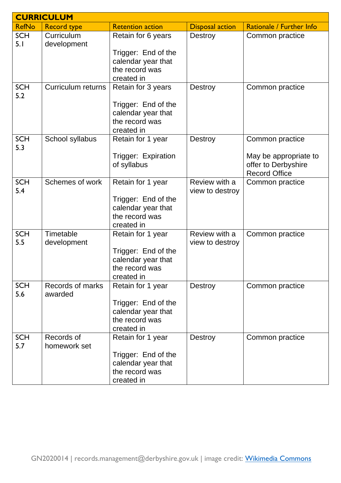|                   | <b>CURRICULUM</b>           |                                                                                                 |                                  |                                                                                         |
|-------------------|-----------------------------|-------------------------------------------------------------------------------------------------|----------------------------------|-----------------------------------------------------------------------------------------|
| <b>RefNo</b>      | <b>Record type</b>          | <b>Retention action</b>                                                                         | <b>Disposal action</b>           | Rationale / Further Info                                                                |
| <b>SCH</b><br>5.1 | Curriculum<br>development   | Retain for 6 years<br>Trigger: End of the<br>calendar year that<br>the record was<br>created in | Destroy                          | Common practice                                                                         |
| <b>SCH</b><br>5.2 | <b>Curriculum returns</b>   | Retain for 3 years<br>Trigger: End of the<br>calendar year that<br>the record was<br>created in | Destroy                          | Common practice                                                                         |
| <b>SCH</b><br>5.3 | School syllabus             | Retain for 1 year<br>Trigger: Expiration<br>of syllabus                                         | Destroy                          | Common practice<br>May be appropriate to<br>offer to Derbyshire<br><b>Record Office</b> |
| <b>SCH</b><br>5.4 | Schemes of work             | Retain for 1 year<br>Trigger: End of the<br>calendar year that<br>the record was<br>created in  | Review with a<br>view to destroy | Common practice                                                                         |
| <b>SCH</b><br>5.5 | Timetable<br>development    | Retain for 1 year<br>Trigger: End of the<br>calendar year that<br>the record was<br>created in  | Review with a<br>view to destroy | Common practice                                                                         |
| <b>SCH</b><br>5.6 | Records of marks<br>awarded | Retain for 1 year<br>Trigger: End of the<br>calendar year that<br>the record was<br>created in  | Destroy                          | Common practice                                                                         |
| <b>SCH</b><br>5.7 | Records of<br>homework set  | Retain for 1 year<br>Trigger: End of the<br>calendar year that<br>the record was<br>created in  | Destroy                          | Common practice                                                                         |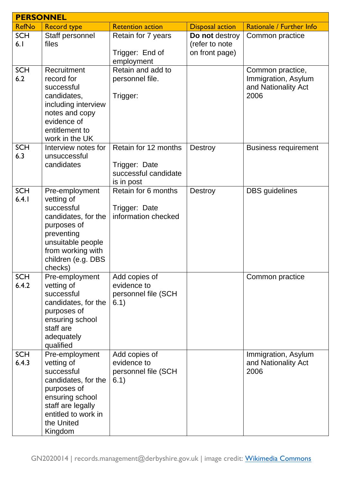| <b>PERSONNEL</b>    |                                                                                                                                                                           |                                                                             |                                                    |                                                                        |
|---------------------|---------------------------------------------------------------------------------------------------------------------------------------------------------------------------|-----------------------------------------------------------------------------|----------------------------------------------------|------------------------------------------------------------------------|
| <b>RefNo</b>        | <b>Record type</b>                                                                                                                                                        | <b>Retention action</b>                                                     | <b>Disposal action</b>                             | Rationale / Further Info                                               |
| <b>SCH</b><br>6.1   | Staff personnel<br>files                                                                                                                                                  | Retain for 7 years<br>Trigger: End of<br>employment                         | Do not destroy<br>(refer to note<br>on front page) | Common practice                                                        |
| <b>SCH</b><br>6.2   | Recruitment<br>record for<br>successful<br>candidates,<br>including interview<br>notes and copy<br>evidence of<br>entitlement to<br>work in the UK                        | Retain and add to<br>personnel file.<br>Trigger:                            |                                                    | Common practice,<br>Immigration, Asylum<br>and Nationality Act<br>2006 |
| <b>SCH</b><br>6.3   | Interview notes for<br>unsuccessful<br>candidates                                                                                                                         | Retain for 12 months<br>Trigger: Date<br>successful candidate<br>is in post | Destroy                                            | <b>Business requirement</b>                                            |
| <b>SCH</b><br>6.4.1 | Pre-employment<br>vetting of<br>successful<br>candidates, for the<br>purposes of<br>preventing<br>unsuitable people<br>from working with<br>children (e.g. DBS<br>checks) | Retain for 6 months<br>Trigger: Date<br>information checked                 | Destroy                                            | <b>DBS</b> guidelines                                                  |
| <b>SCH</b><br>6.4.2 | Pre-employment<br>vetting of<br>successful<br>candidates, for the<br>purposes of<br>ensuring school<br>staff are<br>adequately<br>qualified                               | Add copies of<br>evidence to<br>personnel file (SCH<br>6.1)                 |                                                    | Common practice                                                        |
| <b>SCH</b><br>6.4.3 | Pre-employment<br>vetting of<br>successful<br>candidates, for the<br>purposes of<br>ensuring school<br>staff are legally<br>entitled to work in<br>the United<br>Kingdom  | Add copies of<br>evidence to<br>personnel file (SCH<br>6.1)                 |                                                    | Immigration, Asylum<br>and Nationality Act<br>2006                     |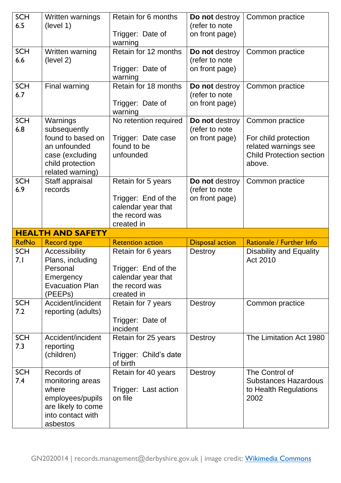| <b>SCH</b>        | Written warnings                               | Retain for 6 months                  | Do not destroy                   | Common practice                              |
|-------------------|------------------------------------------------|--------------------------------------|----------------------------------|----------------------------------------------|
| 6.5               | (level 1)                                      | Trigger: Date of                     | (refer to note<br>on front page) |                                              |
|                   |                                                | warning                              |                                  |                                              |
| <b>SCH</b>        | Written warning                                | Retain for 12 months                 | Do not destroy                   | Common practice                              |
| 6.6               | (level 2)                                      |                                      | (refer to note                   |                                              |
|                   |                                                | Trigger: Date of<br>warning          | on front page)                   |                                              |
| <b>SCH</b><br>6.7 | Final warning                                  | Retain for 18 months                 | Do not destroy<br>(refer to note | Common practice                              |
|                   |                                                | Trigger: Date of<br>warning          | on front page)                   |                                              |
| <b>SCH</b><br>6.8 | Warnings<br>subsequently                       | No retention required                | Do not destroy<br>(refer to note | Common practice                              |
|                   | found to based on<br>an unfounded              | Trigger: Date case<br>found to be    | on front page)                   | For child protection<br>related warnings see |
|                   | case (excluding                                | unfounded                            |                                  | <b>Child Protection section</b>              |
|                   | child protection<br>related warning)           |                                      |                                  | above.                                       |
| <b>SCH</b><br>6.9 | Staff appraisal<br>records                     | Retain for 5 years                   | Do not destroy                   | Common practice                              |
|                   |                                                | Trigger: End of the                  | (refer to note<br>on front page) |                                              |
|                   |                                                | calendar year that                   |                                  |                                              |
|                   |                                                | the record was                       |                                  |                                              |
|                   |                                                |                                      |                                  |                                              |
|                   |                                                | created in                           |                                  |                                              |
| <b>RefNo</b>      | <b>HEALTH AND SAFETY</b><br><b>Record type</b> | <b>Retention action</b>              | <b>Disposal action</b>           | Rationale / Further Info                     |
| <b>SCH</b>        | Accessibility                                  | Retain for 6 years                   | <b>Destroy</b>                   | <b>Disability and Equality</b>               |
| 7. I              | Plans, including                               |                                      |                                  | Act 2010                                     |
|                   | Personal                                       | Trigger: End of the                  |                                  |                                              |
|                   | Emergency<br><b>Evacuation Plan</b>            | calendar year that<br>the record was |                                  |                                              |
|                   | (PEEP <sub>S</sub> )                           | created in                           |                                  |                                              |
| <b>SCH</b><br>7.2 | Accident/incident<br>reporting (adults)        | Retain for 7 years                   | Destroy                          | Common practice                              |
|                   |                                                | Trigger: Date of<br>incident         |                                  |                                              |
| <b>SCH</b><br>7.3 | Accident/incident                              | Retain for 25 years                  | Destroy                          | The Limitation Act 1980                      |
|                   | reporting<br>(children)                        | Trigger: Child's date<br>of birth    |                                  |                                              |
| <b>SCH</b>        | Records of                                     | Retain for 40 years                  | Destroy                          | The Control of                               |
| 7.4               | monitoring areas                               |                                      |                                  | <b>Substances Hazardous</b>                  |
|                   | where                                          | Trigger: Last action                 |                                  | to Health Regulations                        |
|                   | employees/pupils<br>are likely to come         | on file                              |                                  | 2002                                         |
|                   | into contact with<br>asbestos                  |                                      |                                  |                                              |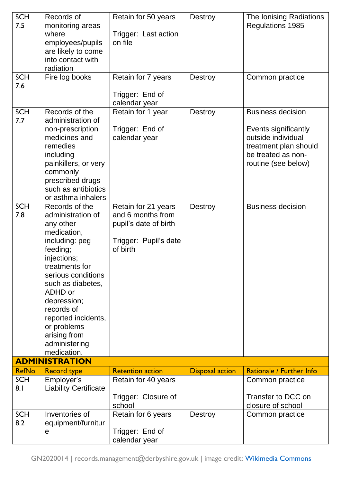| <b>SCH</b><br>7.5                      | Records of<br>monitoring areas<br>where<br>employees/pupils<br>are likely to come<br>into contact with<br>radiation                                                                                                                                                                                     | Retain for 50 years<br>Trigger: Last action<br>on file                                                                                                                           | Destroy                   | The Ionising Radiations<br><b>Regulations 1985</b>                                                                                                                       |
|----------------------------------------|---------------------------------------------------------------------------------------------------------------------------------------------------------------------------------------------------------------------------------------------------------------------------------------------------------|----------------------------------------------------------------------------------------------------------------------------------------------------------------------------------|---------------------------|--------------------------------------------------------------------------------------------------------------------------------------------------------------------------|
| <b>SCH</b><br>7.6                      | Fire log books                                                                                                                                                                                                                                                                                          | Retain for 7 years<br>Trigger: End of                                                                                                                                            | Destroy                   | Common practice                                                                                                                                                          |
| <b>SCH</b><br>7.7<br><b>SCH</b><br>7.8 | Records of the<br>administration of<br>non-prescription<br>medicines and<br>remedies<br>including<br>painkillers, or very<br>commonly<br>prescribed drugs<br>such as antibiotics<br>or asthma inhalers<br>Records of the<br>administration of<br>any other<br>medication,<br>including: peg<br>feeding; | calendar year<br>Retain for 1 year<br>Trigger: End of<br>calendar year<br>Retain for 21 years<br>and 6 months from<br>pupil's date of birth<br>Trigger: Pupil's date<br>of birth | Destroy<br><b>Destroy</b> | <b>Business decision</b><br>Events significantly<br>outside individual<br>treatment plan should<br>be treated as non-<br>routine (see below)<br><b>Business decision</b> |
|                                        | injections;<br>treatments for<br>serious conditions<br>such as diabetes,<br>ADHD or<br>depression;<br>records of<br>reported incidents,<br>or problems<br>arising from<br>administering<br>medication.                                                                                                  |                                                                                                                                                                                  |                           |                                                                                                                                                                          |
|                                        | <b>ADMINISTRATION</b>                                                                                                                                                                                                                                                                                   |                                                                                                                                                                                  |                           |                                                                                                                                                                          |
| <b>RefNo</b>                           | <b>Record type</b>                                                                                                                                                                                                                                                                                      | <b>Retention action</b>                                                                                                                                                          | <b>Disposal action</b>    | Rationale / Further Info                                                                                                                                                 |
| <b>SCH</b><br>8.1                      | Employer's<br><b>Liability Certificate</b>                                                                                                                                                                                                                                                              | Retain for 40 years<br>Trigger: Closure of<br>school                                                                                                                             |                           | Common practice<br>Transfer to DCC on<br>closure of school                                                                                                               |
| <b>SCH</b><br>8.2                      | Inventories of<br>equipment/furnitur<br>$\mathsf{e}$                                                                                                                                                                                                                                                    | Retain for 6 years<br>Trigger: End of<br>calendar year                                                                                                                           | Destroy                   | Common practice                                                                                                                                                          |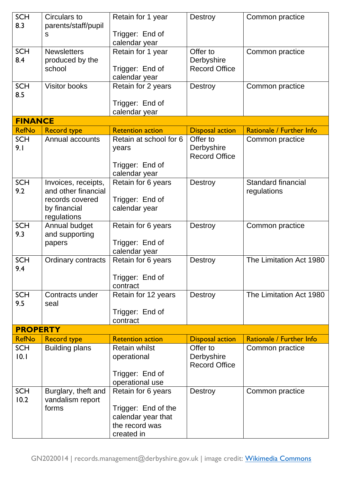| <b>SCH</b><br>8.3  | Circulars to<br>parents/staff/pupil              | Retain for 1 year                                               | Destroy                                        | Common practice                   |
|--------------------|--------------------------------------------------|-----------------------------------------------------------------|------------------------------------------------|-----------------------------------|
|                    | S                                                | Trigger: End of<br>calendar year                                |                                                |                                   |
| <b>SCH</b><br>8.4  | <b>Newsletters</b><br>produced by the<br>school  | Retain for 1 year<br>Trigger: End of<br>calendar year           | Offer to<br>Derbyshire<br><b>Record Office</b> | Common practice                   |
| <b>SCH</b><br>8.5  | <b>Visitor books</b>                             | Retain for 2 years                                              | Destroy                                        | Common practice                   |
|                    |                                                  | Trigger: End of<br>calendar year                                |                                                |                                   |
| <b>FINANCE</b>     |                                                  |                                                                 |                                                |                                   |
| <b>RefNo</b>       | <b>Record type</b>                               | <b>Retention action</b>                                         | <b>Disposal action</b>                         | Rationale / Further Info          |
| <b>SCH</b><br>9.1  | Annual accounts                                  | Retain at school for 6<br>years                                 | Offer to<br>Derbyshire<br><b>Record Office</b> | Common practice                   |
|                    |                                                  | Trigger: End of<br>calendar year                                |                                                |                                   |
| <b>SCH</b><br>9.2  | Invoices, receipts,<br>and other financial       | Retain for 6 years                                              | Destroy                                        | Standard financial<br>regulations |
|                    | records covered<br>by financial<br>regulations   | Trigger: End of<br>calendar year                                |                                                |                                   |
| <b>SCH</b><br>9.3  | Annual budget<br>and supporting<br>papers        | Retain for 6 years<br>Trigger: End of                           | Destroy                                        | Common practice                   |
|                    |                                                  | calendar year                                                   |                                                |                                   |
| <b>SCH</b><br>9.4  | Ordinary contracts                               | Retain for 6 years                                              | Destroy                                        | The Limitation Act 1980           |
|                    |                                                  | Trigger: End of<br>contract                                     |                                                |                                   |
| <b>SCH</b><br>9.5  | Contracts under<br>seal                          | Retain for 12 years                                             | Destroy                                        | The Limitation Act 1980           |
|                    |                                                  | Trigger: End of<br>contract                                     |                                                |                                   |
| <b>PROPERTY</b>    |                                                  |                                                                 |                                                |                                   |
| <b>RefNo</b>       | <b>Record type</b>                               | <b>Retention action</b>                                         | <b>Disposal action</b>                         | Rationale / Further Info          |
| <b>SCH</b><br>10.1 | <b>Building plans</b>                            | <b>Retain whilst</b><br>operational                             | Offer to<br>Derbyshire<br><b>Record Office</b> | Common practice                   |
|                    |                                                  | Trigger: End of<br>operational use                              |                                                |                                   |
| <b>SCH</b><br>10.2 | Burglary, theft and<br>vandalism report<br>forms | Retain for 6 years<br>Trigger: End of the<br>calendar year that | Destroy                                        | Common practice                   |
|                    |                                                  | the record was<br>created in                                    |                                                |                                   |